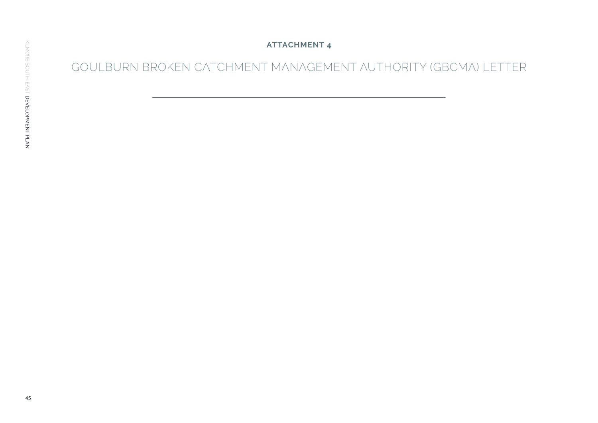**ATTACHMENT 4**

GOULBURN BROKEN CATCHMENT MANAGEMENT AUTHORITY (GBCMA) LETTER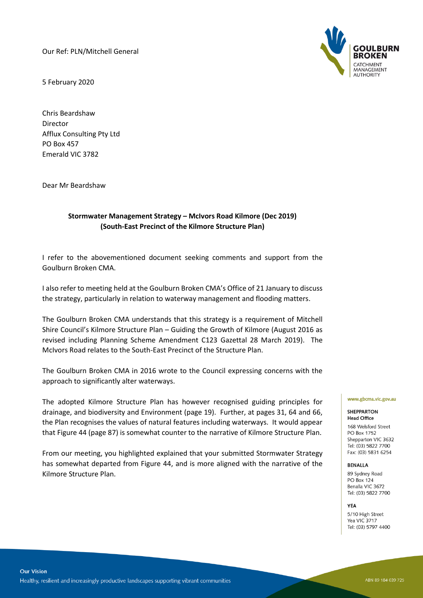Our Ref: PLN/Mitchell General

5 February 2020

Chris Beardshaw Director Afflux Consulting Pty Ltd PO Box 457 Emerald VIC 3782

Dear Mr Beardshaw

## **Stormwater Management Strategy – McIvors Road Kilmore (Dec 2019) (South-East Precinct of the Kilmore Structure Plan)**

I refer to the abovementioned document seeking comments and support from the Goulburn Broken CMA.

I also refer to meeting held at the Goulburn Broken CMA's Office of 21 January to discuss the strategy, particularly in relation to waterway management and flooding matters.

The Goulburn Broken CMA understands that this strategy is a requirement of Mitchell Shire Council's Kilmore Structure Plan – Guiding the Growth of Kilmore (August 2016 as revised including Planning Scheme Amendment C123 Gazettal 28 March 2019). The McIvors Road relates to the South-East Precinct of the Structure Plan.

The Goulburn Broken CMA in 2016 wrote to the Council expressing concerns with the approach to significantly alter waterways.

The adopted Kilmore Structure Plan has however recognised guiding principles for drainage, and biodiversity and Environment (page 19). Further, at pages 31, 64 and 66, the Plan recognises the values of natural features including waterways. It would appear that Figure 44 (page 87) is somewhat counter to the narrative of Kilmore Structure Plan.

From our meeting, you highlighted explained that your submitted Stormwater Strategy has somewhat departed from Figure 44, and is more aligned with the narrative of the Kilmore Structure Plan.



### www.gbcma.vic.gov.au

#### **SHEPPARTON Head Office**

168 Welsford Street PO Box 1752 Shepparton VIC 3632 Tel: (03) 5822 7700 Fax: (03) 5831 6254

## **BENALLA**

89 Sydney Road **PO Box 124** Benalla VIC 3672 Tel: (03) 5822 7700

YEA

5/10 High Street Yea VIC 3717 Tel: (03) 5797 4400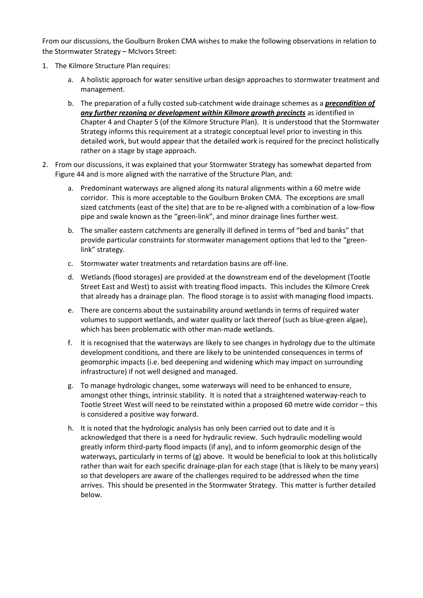From our discussions, the Goulburn Broken CMA wishes to make the following observations in relation to the Stormwater Strategy – McIvors Street:

- 1. The Kilmore Structure Plan requires:
	- a. A holistic approach for water sensitive urban design approaches to stormwater treatment and management.
	- b. The preparation of a fully costed sub-catchment wide drainage schemes as a *precondition of any further rezoning or development within Kilmore growth precincts* as identified in Chapter 4 and Chapter 5 (of the Kilmore Structure Plan). It is understood that the Stormwater Strategy informs this requirement at a strategic conceptual level prior to investing in this detailed work, but would appear that the detailed work is required for the precinct holistically rather on a stage by stage approach.
- 2. From our discussions, it was explained that your Stormwater Strategy has somewhat departed from Figure 44 and is more aligned with the narrative of the Structure Plan, and:
	- a. Predominant waterways are aligned along its natural alignments within a 60 metre wide corridor. This is more acceptable to the Goulburn Broken CMA. The exceptions are small sized catchments (east of the site) that are to be re-aligned with a combination of a low-flow pipe and swale known as the "green-link", and minor drainage lines further west.
	- b. The smaller eastern catchments are generally ill defined in terms of "bed and banks" that provide particular constraints for stormwater management options that led to the "greenlink" strategy.
	- c. Stormwater water treatments and retardation basins are off-line.
	- d. Wetlands (flood storages) are provided at the downstream end of the development (Tootle Street East and West) to assist with treating flood impacts. This includes the Kilmore Creek that already has a drainage plan. The flood storage is to assist with managing flood impacts.
	- e. There are concerns about the sustainability around wetlands in terms of required water volumes to support wetlands, and water quality or lack thereof (such as blue-green algae), which has been problematic with other man-made wetlands.
	- f. It is recognised that the waterways are likely to see changes in hydrology due to the ultimate development conditions, and there are likely to be unintended consequences in terms of geomorphic impacts (i.e. bed deepening and widening which may impact on surrounding infrastructure) if not well designed and managed.
	- g. To manage hydrologic changes, some waterways will need to be enhanced to ensure, amongst other things, intrinsic stability. It is noted that a straightened waterway-reach to Tootle Street West will need to be reinstated within a proposed 60 metre wide corridor – this is considered a positive way forward.
	- h. It is noted that the hydrologic analysis has only been carried out to date and it is acknowledged that there is a need for hydraulic review. Such hydraulic modelling would greatly inform third-party flood impacts (if any), and to inform geomorphic design of the waterways, particularly in terms of (g) above. It would be beneficial to look at this holistically rather than wait for each specific drainage-plan for each stage (that is likely to be many years) so that developers are aware of the challenges required to be addressed when the time arrives. This should be presented in the Stormwater Strategy. This matter is further detailed below.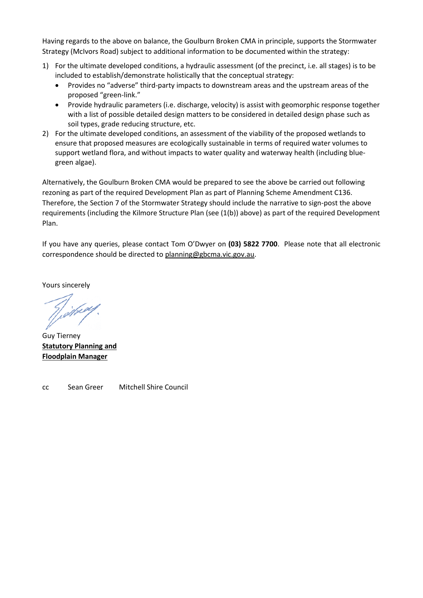Having regards to the above on balance, the Goulburn Broken CMA in principle, supports the Stormwater Strategy (McIvors Road) subject to additional information to be documented within the strategy:

- 1) For the ultimate developed conditions, a hydraulic assessment (of the precinct, i.e. all stages) is to be included to establish/demonstrate holistically that the conceptual strategy:
	- Provides no "adverse" third-party impacts to downstream areas and the upstream areas of the proposed "green-link."
	- Provide hydraulic parameters (i.e. discharge, velocity) is assist with geomorphic response together with a list of possible detailed design matters to be considered in detailed design phase such as soil types, grade reducing structure, etc.
- 2) For the ultimate developed conditions, an assessment of the viability of the proposed wetlands to ensure that proposed measures are ecologically sustainable in terms of required water volumes to support wetland flora, and without impacts to water quality and waterway health (including bluegreen algae).

Alternatively, the Goulburn Broken CMA would be prepared to see the above be carried out following rezoning as part of the required Development Plan as part of Planning Scheme Amendment C136. Therefore, the Section 7 of the Stormwater Strategy should include the narrative to sign-post the above requirements (including the Kilmore Structure Plan (see (1(b)) above) as part of the required Development Plan.

If you have any queries, please contact Tom O'Dwyer on **(03) 5822 7700**. Please note that all electronic correspondence should be directed to [planning@gbcma.vic.gov.au.](mailto:planning@gbcma.vic.gov.au)

Yours sincerely

Guy Tierney **Statutory Planning and Floodplain Manager**

cc Sean Greer Mitchell Shire Council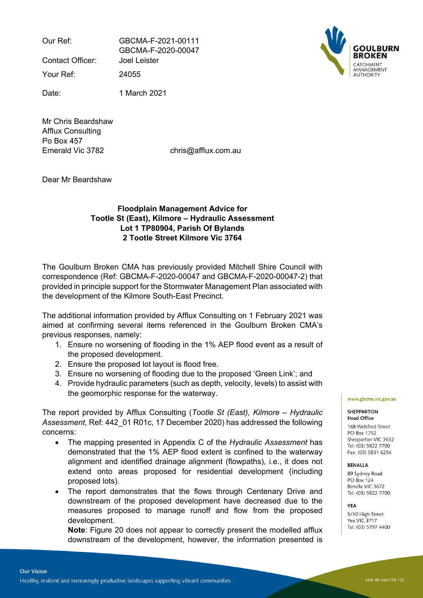Our Ref: GBCMA-F-2021-00111 GBCMA-F-2020-00047

Contact Officer: Joel Leister

Your Ref: 24055

Date: 1 March 2021

Mr Chris Beardshaw Afflux Consulting Po Box 457 Emerald Vic 3782 chris@afflux.com.au

Dear Mr Beardshaw

# **Floodplain Management Advice for Tootle St (East), Kilmore – Hydraulic Assessment Lot 1 TP80904, Parish Of Bylands 2 Tootle Street Kilmore Vic 3764**

The Goulburn Broken CMA has previously provided Mitchell Shire Council with correspondence (Ref: GBCMA-F-2020-00047 and GBCMA-F-2020-00047-2) that provided in principle support for the Stormwater Management Plan associated with the development of the Kilmore South-East Precinct.

The additional information provided by Afflux Consulting on 1 February 2021 was aimed at confirming several items referenced in the Goulburn Broken CMA's previous responses, namely:

- 1. Ensure no worsening of flooding in the 1% AEP flood event as a result of the proposed development.
- 2. Ensure the proposed lot layout is flood free.
- 3. Ensure no worsening of flooding due to the proposed 'Green Link'; and
- 4. Provide hydraulic parameters (such as depth, velocity, levels) to assist with the geomorphic response for the waterway.

The report provided by Afflux Consulting (*Tootle St (East), Kilmore – Hydraulic Assessment*, Ref: 442\_01 R01c, 17 December 2020) has addressed the following concerns:

- The mapping presented in Appendix C of the *Hydraulic Assessment* has demonstrated that the 1% AEP flood extent is confined to the waterway alignment and identified drainage alignment (flowpaths), i.e., it does not extend onto areas proposed for residential development (including proposed lots).
- The report demonstrates that the flows through Centenary Drive and downstream of the proposed development have decreased due to the measures proposed to manage runoff and flow from the proposed development.

**Note**: Figure 20 does not appear to correctly present the modelled afflux downstream of the development, however, the information presented is

#### **SHEPPARTON Head Office**

168 Welsford Street PO Box 1752 Shepparton VIC 3632 Tel: (03) 5822 7700 Fax: (03) 5831 6254

## **BENALLA**

89 Sydney Road PO Box 124 Benalla VIC 3672 Tel: (03) 5822 7700

## **YFA**

5/10 High Street Yea VIC 3717 Tel: (03) 5797 4400

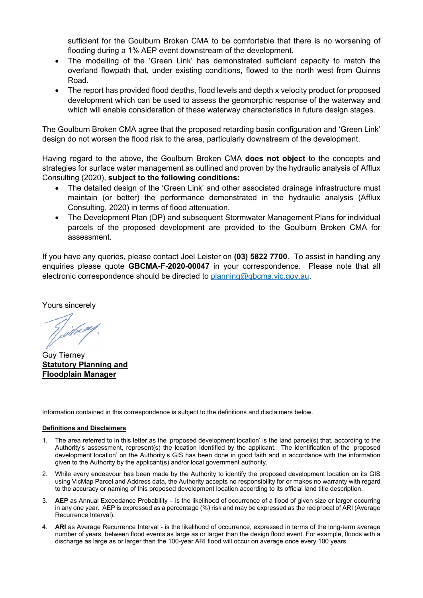sufficient for the Goulburn Broken CMA to be comfortable that there is no worsening of flooding during a 1% AEP event downstream of the development.

- The modelling of the 'Green Link' has demonstrated sufficient capacity to match the overland flowpath that, under existing conditions, flowed to the north west from Quinns Road.
- The report has provided flood depths, flood levels and depth x velocity product for proposed development which can be used to assess the geomorphic response of the waterway and which will enable consideration of these waterway characteristics in future design stages.

The Goulburn Broken CMA agree that the proposed retarding basin configuration and 'Green Link' design do not worsen the flood risk to the area, particularly downstream of the development.

Having regard to the above, the Goulburn Broken CMA **does not object** to the concepts and strategies for surface water management as outlined and proven by the hydraulic analysis of Afflux Consulting (2020), **subject to the following conditions:**

- The detailed design of the 'Green Link' and other associated drainage infrastructure must maintain (or better) the performance demonstrated in the hydraulic analysis (Afflux Consulting, 2020) in terms of flood attenuation.
- The Development Plan (DP) and subsequent Stormwater Management Plans for individual parcels of the proposed development are provided to the Goulburn Broken CMA for assessment.

If you have any queries, please contact Joel Leister on **(03) 5822 7700**. To assist in handling any enquiries please quote **GBCMA-F-2020-00047** in your correspondence. Please note that all electronic correspondence should be directed to [planning@gbcma.vic.gov.au](mailto:planning@gbcma.vic.gov.au).

Yours sincerely

Vihroy

Guy Tierney **Statutory Planning and Floodplain Manager**

Information contained in this correspondence is subject to the definitions and disclaimers below.

## **Definitions and Disclaimers**

- 1. The area referred to in this letter as the 'proposed development location' is the land parcel(s) that, according to the Authority's assessment, represent(s) the location identified by the applicant. The identification of the 'proposed development location' on the Authority's GIS has been done in good faith and in accordance with the information given to the Authority by the applicant(s) and/or local government authority.
- 2. While every endeavour has been made by the Authority to identify the proposed development location on its GIS using VicMap Parcel and Address data, the Authority accepts no responsibility for or makes no warranty with regard to the accuracy or naming of this proposed development location according to its official land title description.
- 3. **AEP** as Annual Exceedance Probability is the likelihood of occurrence of a flood of given size or larger occurring in any one year. AEP is expressed as a percentage (%) risk and may be expressed as the reciprocal of ARI (Average Recurrence Interval).
- 4. **ARI** as Average Recurrence Interval is the likelihood of occurrence, expressed in terms of the long-term average number of years, between flood events as large as or larger than the design flood event. For example, floods with a discharge as large as or larger than the 100-year ARI flood will occur on average once every 100 years.